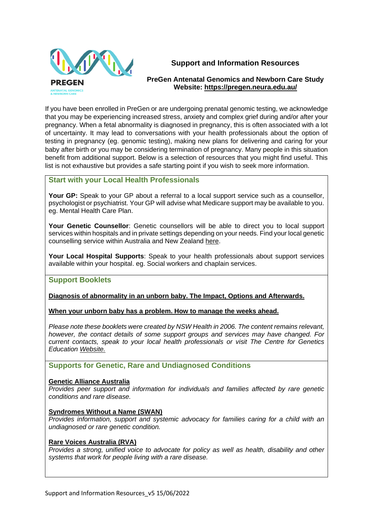

# **Support and Information Resources**

# **PreGen Antenatal Genomics and Newborn Care Study Website:<https://pregen.neura.edu.au/>**

If you have been enrolled in PreGen or are undergoing prenatal genomic testing, we acknowledge that you may be experiencing increased stress, anxiety and complex grief during and/or after your pregnancy. When a fetal abnormality is diagnosed in pregnancy, this is often associated with a lot of uncertainty. It may lead to conversations with your health professionals about the option of testing in pregnancy (eg. genomic testing), making new plans for delivering and caring for your baby after birth or you may be considering termination of pregnancy. Many people in this situation benefit from additional support. Below is a selection of resources that you might find useful. This list is not exhaustive but provides a safe starting point if you wish to seek more information.

# **Start with your Local Health Professionals**

**Your GP:** Speak to your GP about a referral to a local support service such as a counsellor, psychologist or psychiatrist. Your GP will advise what Medicare support may be available to you. eg. Mental Health Care Plan.

**Your Genetic Counsellor**: Genetic counsellors will be able to direct you to local support services within hospitals and in private settings depending on your needs. Find your local genetic counselling service within Australia and New Zealand [here.](https://www.genetics.edu.au/genetic-services/general-genetics-clinics)

**Your Local Hospital Supports**: Speak to your health professionals about support services available within your hospital. eg. Social workers and chaplain services.

# **Support Booklets**

# **[Diagnosis of abnormality in an unborn baby. The Impact, Options and Afterwards.](https://www.genetics.edu.au/SitePages/Unborn-baby-abnormality.aspx)**

**[When your unborn baby has a problem. How to manage the weeks ahead.](https://www.genetics.edu.au/SitePages/Unborn-baby-problem.aspx)**

*Please note these booklets were created by NSW Health in 2006. The content remains relevant, however, the contact details of some support groups and services may have changed. For current contacts, speak to your local health professionals or visit The Centre for Genetics Education [Website.](https://www.genetics.edu.au/)*

**Supports for Genetic, Rare and Undiagnosed Conditions**

#### **[Genetic Alliance Australia](https://www.geneticalliance.org.au/index.php)**

*Provides peer support and information for individuals and families affected by rare genetic conditions and rare disease.* 

#### **[Syndromes Without a Name \(SWAN\)](https://swanaus.org.au/)**

*Provides information, support and systemic advocacy for families caring for a child with an undiagnosed or rare genetic condition.* 

#### **[Rare Voices Australia \(RVA\)](https://rarevoices.org.au/)**

*Provides a strong, unified voice to advocate for policy as well as health, disability and other systems that work for people living with a rare disease.*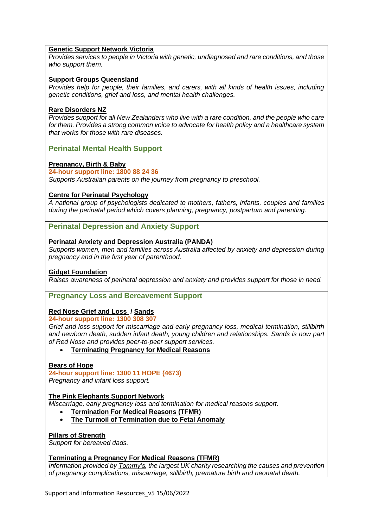#### **[Genetic Support Network Victoria](https://www.gsnv.org.au/)**

*Provides services to people in Victoria with genetic, undiagnosed and rare conditions, and those who support them.*

#### **[Support Groups Queensland](https://supportgroups.org.au/)**

*Provides help for people, their families, and carers, with all kinds of health issues, including genetic conditions, grief and loss, and mental health challenges.*

#### **[Rare Disorders NZ](https://raredisorders.org.nz/)**

*Provides support for all New Zealanders who live with a rare condition, and the people who care for them. Provides a strong common voice to advocate for health policy and a healthcare system that works for those with rare diseases.*

#### **Perinatal Mental Health Support**

### **[Pregnancy, Birth & Baby](https://www.pregnancybirthbaby.org.au/)**

#### **24-hour support line: 1800 88 24 36**

*Supports Australian parents on the journey from pregnancy to preschool.*

#### **[Centre for Perinatal Psychology](https://www.centreforperinatalpsychology.com.au/)**

*A national group of psychologists dedicated to mothers, fathers, infants, couples and families during the perinatal period which covers planning, pregnancy, postpartum and parenting.*

#### **Perinatal Depression and Anxiety Support**

#### **[Perinatal Anxiety and Depression Australia](https://www.panda.org.au/) (PANDA)**

*Supports women, men and families across Australia affected by anxiety and depression during pregnancy and in the first year of parenthood.*

#### **[Gidget Foundation](https://www.gidgetfoundation.org.au/)**

*Raises awareness of perinatal depression and anxiety and provides support for those in need.* 

#### **Pregnancy Loss and Bereavement Support**

#### **Red Nose [Grief and Loss](https://rednosegriefandloss.org.au/) / [Sands](https://www.sands.org.au/)**

**24-hour support line: 1300 308 307**

*Grief and loss support for miscarriage and early pregnancy loss, medical termination, stillbirth and newborn death, sudden infant death, young children and relationships. Sands is now part of Red Nose and provides peer-to-peer support services.*

• **[Terminating Pregnancy for Medical Reasons](https://www.sands.org.au/Handlers/Download.ashx?IDMF=5e2dfed7-e14c-4815-a10b-0b6a48b81ade)**

#### **[Bears of Hope](https://www.bearsofhope.org.au/)**

**24-hour support line: 1300 11 HOPE (4673)**

*Pregnancy and infant loss support.*

#### **[The Pink Elephants Support Network](https://www.pinkelephants.org.au/)**

*Miscarriage, early pregnancy loss and termination for medical reasons support.*

- **[Termination For Medical Reasons](https://www.pinkelephants.org.au/page/72/termination-for-medical-reasons) (TFMR)**
- **[The Turmoil of Termination due to Fetal Anomaly](https://pesnpinkelephants.blob.core.windows.net/assets/pages/PENS-The-Turmoil-of-Termination-WEBSITE.pdf)**

#### **[Pillars of Strength](https://pillarsofstrength.com.au/)**

*Support for bereaved dads.*

#### **[Terminating a Pregnancy For Medical Reasons](https://www.tommys.org/baby-loss-support/tfmr-terminating-pregnancy-medical-reasons) (TFMR)**

*Information provided by [Tommy's,](https://www.tommys.org/) the largest UK charity researching the causes and prevention of pregnancy complications, miscarriage, stillbirth, premature birth and neonatal death.*